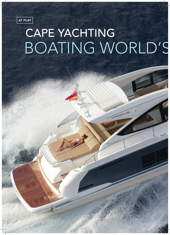AT PLAY

## CAPE YACHTING BOATING WORLD'S

PROPERTY PAGES | 2 0 PROPERTY PAGES | 2 1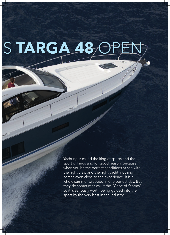## S TARGA

PROPERTY PAGES | 2 0 PROPERTY PAGES | 2 1

Yachting is called the king of sports and the sport of kings and for good reason, because when you hit the perfect conditions at sea with the right crew and the right yacht, nothing comes even close to the experience. It is a whole summer wrapped in one perfect day. But, they do sometimes call it the "Cape of Storms", so it is seriously worth being guided into the sport by the very best in the industry.